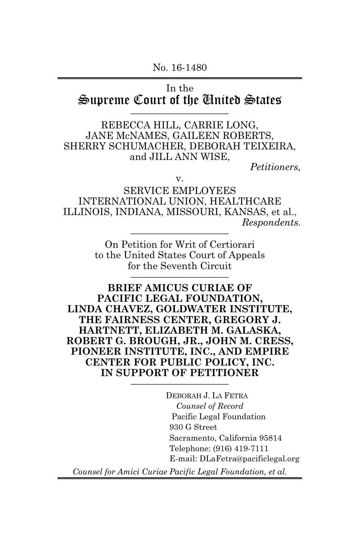## In the Supreme Court of the Cinited States

REBECCA HILL, CARRIE LONG, JANE McNAMES, GAILEEN ROBERTS, SHERRY SCHUMACHER, DEBORAH TEIXEIRA, and JILL ANN WISE,

*Petitioners,*

v.

SERVICE EMPLOYEES INTERNATIONAL UNION, HEALTHCARE ILLINOIS, INDIANA, MISSOURI, KANSAS, et al.,  $Respondents.$ 

> On Petition for Writ of Certiorari to the United States Court of Appeals for the Seventh Circuit

**BRIEF AMICUS CURIAE OF PACIFIC LEGAL FOUNDATION, LINDA CHAVEZ, GOLDWATER INSTITUTE, THE FAIRNESS CENTER, GREGORY J. HARTNETT, ELIZABETH M. GALASKA, ROBERT G. BROUGH, JR., JOHN M. CRESS, PIONEER INSTITUTE, INC., AND EMPIRE CENTER FOR PUBLIC POLICY, INC. IN SUPPORT OF PETITIONER** 

> DEBORAH J. LA FETRA *Counsel of Record* Pacific Legal Foundation 930 G Street Sacramento, California 95814 Telephone: (916) 419-7111 E-mail: DLaFetra@pacificlegal.org

*Counsel for Amici Curiae Pacific Legal Foundation, et al.*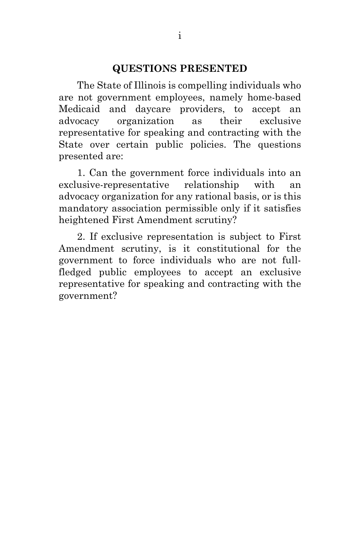#### **QUESTIONS PRESENTED**

The State of Illinois is compelling individuals who are not government employees, namely home-based Medicaid and daycare providers, to accept an advocacy organization as their exclusive representative for speaking and contracting with the State over certain public policies. The questions presented are:

1. Can the government force individuals into an exclusive-representative relationship with an advocacy organization for any rational basis, or is this mandatory association permissible only if it satisfies heightened First Amendment scrutiny?

2. If exclusive representation is subject to First Amendment scrutiny, is it constitutional for the government to force individuals who are not fullfledged public employees to accept an exclusive representative for speaking and contracting with the government?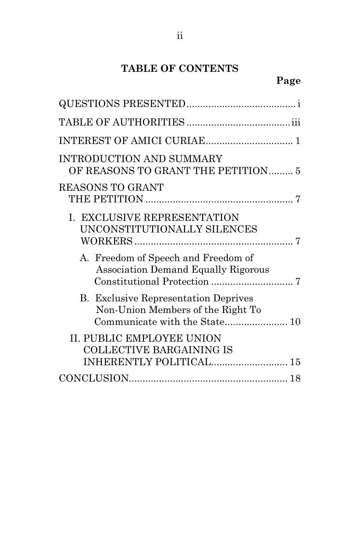# **TABLE OF CONTENTS**

# **Page**

| OF REASONS TO GRANT THE PETITION5 |
|-----------------------------------|
|                                   |
|                                   |
|                                   |
|                                   |
| INHERENTLY POLITICAL 15           |
|                                   |
|                                   |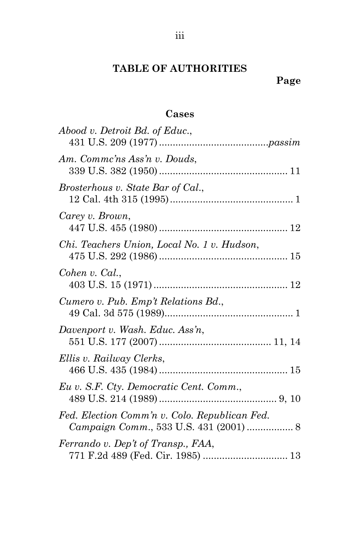### **Cases**

| Abood v. Detroit Bd. of Educ.,                                                          |
|-----------------------------------------------------------------------------------------|
| Am. Commc'ns Ass'n v. Douds,                                                            |
| Brosterhous v. State Bar of Cal.,                                                       |
| Carey v. Brown,                                                                         |
| Chi. Teachers Union, Local No. 1 v. Hudson,                                             |
| Cohen v. Cal.,                                                                          |
| Cumero v. Pub. Emp't Relations Bd.,                                                     |
| Davenport v. Wash. Educ. Ass'n,                                                         |
| Ellis v. Railway Clerks,                                                                |
| Eu v. S.F. Cty. Democratic Cent. Comm.,                                                 |
| Fed. Election Comm'n v. Colo. Republican Fed.<br>Campaign Comm., 533 U.S. 431 (2001)  8 |
| Ferrando v. Dep't of Transp., FAA,<br>771 F.2d 489 (Fed. Cir. 1985)  13                 |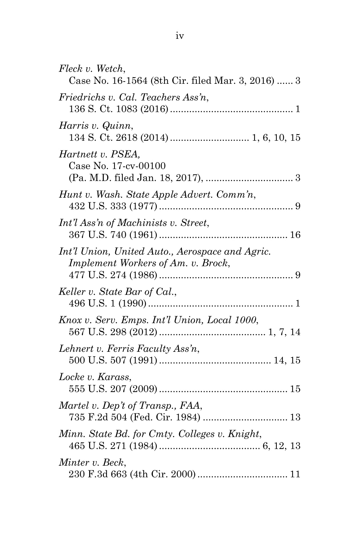| Fleck v. Wetch,<br>Case No. 16-1564 (8th Cir. filed Mar. 3, 2016)  3                  |
|---------------------------------------------------------------------------------------|
| Friedrichs v. Cal. Teachers Ass'n,                                                    |
| Harris v. Quinn,                                                                      |
| Hartnett v. PSEA,<br>Case No. 17-cv-00100                                             |
| Hunt v. Wash. State Apple Advert. Comm'n,                                             |
| Int'l Ass'n of Machinists v. Street,                                                  |
| Int'l Union, United Auto., Aerospace and Agric.<br>Implement Workers of Am. v. Brock, |
| Keller v. State Bar of Cal.,                                                          |
| Knox v. Serv. Emps. Int'l Union, Local 1000,                                          |
| Lehnert v. Ferris Faculty Ass'n,                                                      |
| Locke v. Karass,                                                                      |
| Martel v. Dep't of Transp., FAA,<br>735 F.2d 504 (Fed. Cir. 1984)  13                 |
| Minn. State Bd. for Cmty. Colleges v. Knight,                                         |
| Minter v. Beck,                                                                       |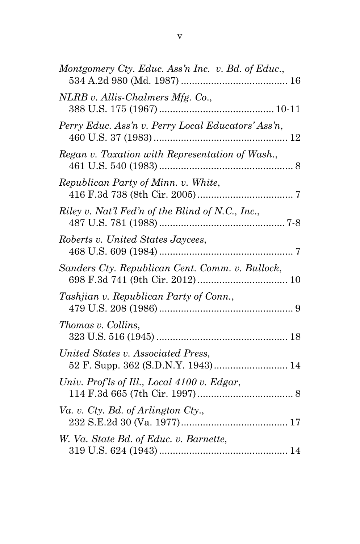| Montgomery Cty. Educ. Ass'n Inc. v. Bd. of Educ.,  |
|----------------------------------------------------|
| NLRB v. Allis-Chalmers Mfg. Co.,                   |
| Perry Educ. Ass'n v. Perry Local Educators' Ass'n, |
| Regan v. Taxation with Representation of Wash.,    |
| Republican Party of Minn. v. White,                |
| Riley v. Nat'l Fed'n of the Blind of N.C., Inc.,   |
| Roberts v. United States Jaycees,                  |
| Sanders Cty. Republican Cent. Comm. v. Bullock,    |
| Tashjian v. Republican Party of Conn.,             |
| Thomas v. Collins,                                 |
| United States v. Associated Press,                 |
| Univ. Prof'ls of Ill., Local 4100 v. Edgar,        |
| Va. v. Cty. Bd. of Arlington Cty.,                 |
| W. Va. State Bd. of Educ. v. Barnette,             |
|                                                    |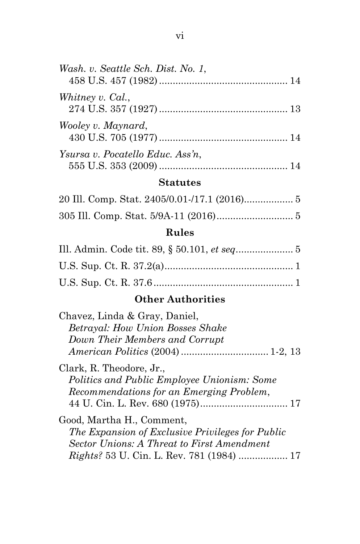| Wash. v. Seattle Sch. Dist. No. 1, |  |
|------------------------------------|--|
| Whitney v. Cal.,                   |  |
| Wooley v. Maynard,                 |  |
| Ysursa v. Pocatello Educ. Ass'n,   |  |

## **Statutes**

## **Rules**

# **Other Authorities**

| Chavez, Linda & Gray, Daniel,                      |  |
|----------------------------------------------------|--|
| <b>Betrayal: How Union Bosses Shake</b>            |  |
| Down Their Members and Corrupt                     |  |
|                                                    |  |
| Clark, R. Theodore, Jr.,                           |  |
| <i>Politics and Public Employee Unionism: Some</i> |  |
| Recommendations for an Emerging Problem,           |  |
|                                                    |  |
| Good, Martha H., Comment,                          |  |
| The Expansion of Exclusive Privileges for Public   |  |
| <b>Sector Unions: A Threat to First Amendment</b>  |  |
| <i>Rights</i> ? 53 U. Cin. L. Rev. 781 (1984)  17  |  |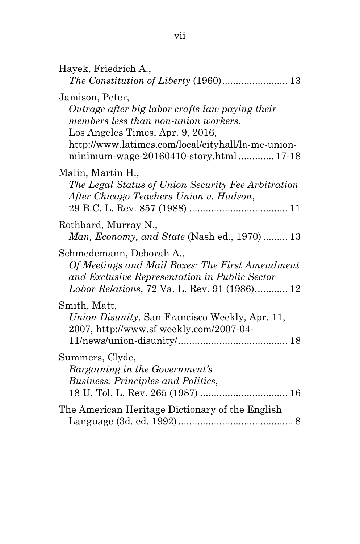| Hayek, Friedrich A.,                                                                                                                                                                                                                            |
|-------------------------------------------------------------------------------------------------------------------------------------------------------------------------------------------------------------------------------------------------|
| Jamison, Peter,<br>Outrage after big labor crafts law paying their<br>members less than non-union workers,<br>Los Angeles Times, Apr. 9, 2016,<br>http://www.latimes.com/local/cityhall/la-me-union-<br>minimum-wage-20160410-story.html  17-18 |
| Malin, Martin H.,<br>The Legal Status of Union Security Fee Arbitration<br>After Chicago Teachers Union v. Hudson,                                                                                                                              |
| Rothbard, Murray N.,<br>Man, Economy, and State (Nash ed., 1970) 13                                                                                                                                                                             |
| Schmedemann, Deborah A.,<br>Of Meetings and Mail Boxes: The First Amendment<br>and Exclusive Representation in Public Sector<br>Labor Relations, 72 Va. L. Rev. 91 (1986) 12                                                                    |
| Smith, Matt,<br><i>Union Disunity</i> , San Francisco Weekly, Apr. 11,<br>2007, http://www.sf weekly.com/2007-04-                                                                                                                               |
| Summers, Clyde,<br>Bargaining in the Government's<br><b>Business: Principles and Politics,</b>                                                                                                                                                  |
| The American Heritage Dictionary of the English                                                                                                                                                                                                 |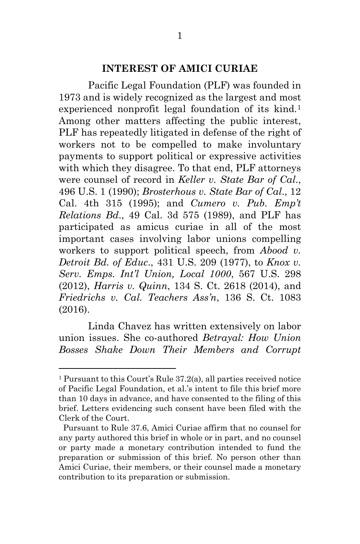#### **INTEREST OF AMICI CURIAE**

Pacific Legal Foundation (PLF) was founded in 1973 and is widely recognized as the largest and most experienced nonprofit legal foundation of its kind.<sup>[1](#page-8-0)</sup> Among other matters affecting the public interest, PLF has repeatedly litigated in defense of the right of workers not to be compelled to make involuntary payments to support political or expressive activities with which they disagree. To that end, PLF attorneys were counsel of record in *Keller v. State Bar of Cal*., 496 U.S. 1 (1990); *Brosterhous v. State Bar of Cal*., 12 Cal. 4th 315 (1995); and *Cumero v. Pub. Emp't Relations Bd*., 49 Cal. 3d 575 (1989), and PLF has participated as amicus curiae in all of the most important cases involving labor unions compelling workers to support political speech, from *Abood v. Detroit Bd. of Educ*., 431 U.S. 209 (1977), to *Knox v. Serv. Emps. Int'l Union, Local 1000*, 567 U.S. 298 (2012), *Harris v. Quinn*, 134 S. Ct. 2618 (2014), and *Friedrichs v. Cal. Teachers Ass'n*, 136 S. Ct. 1083 (2016).

Linda Chavez has written extensively on labor union issues. She co-authored *Betrayal: How Union Bosses Shake Down Their Members and Corrupt* 

 $\overline{a}$ 

<span id="page-8-0"></span><sup>&</sup>lt;sup>1</sup> Pursuant to this Court's Rule  $37.2(a)$ , all parties received notice of Pacific Legal Foundation, et al.'s intent to file this brief more than 10 days in advance, and have consented to the filing of this brief. Letters evidencing such consent have been filed with the Clerk of the Court.

Pursuant to Rule 37.6, Amici Curiae affirm that no counsel for any party authored this brief in whole or in part, and no counsel or party made a monetary contribution intended to fund the preparation or submission of this brief. No person other than Amici Curiae, their members, or their counsel made a monetary contribution to its preparation or submission.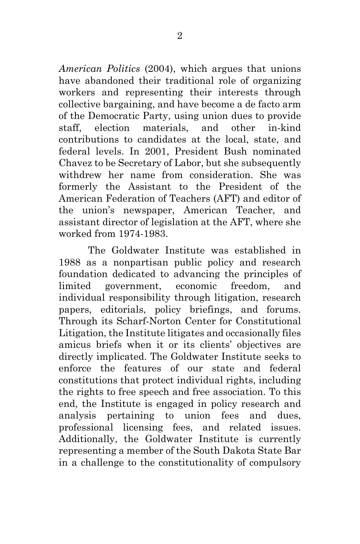*American Politics* (2004), which argues that unions have abandoned their traditional role of organizing workers and representing their interests through collective bargaining, and have become a de facto arm of the Democratic Party, using union dues to provide staff, election materials, and other in-kind contributions to candidates at the local, state, and federal levels. In 2001, President Bush nominated Chavez to be Secretary of Labor, but she subsequently withdrew her name from consideration. She was formerly the Assistant to the President of the American Federation of Teachers (AFT) and editor of the union's newspaper, American Teacher, and assistant director of legislation at the AFT, where she worked from 1974-1983.

The Goldwater Institute was established in 1988 as a nonpartisan public policy and research foundation dedicated to advancing the principles of limited government, economic freedom, and individual responsibility through litigation, research papers, editorials, policy briefings, and forums. Through its Scharf-Norton Center for Constitutional Litigation, the Institute litigates and occasionally files amicus briefs when it or its clients' objectives are directly implicated. The Goldwater Institute seeks to enforce the features of our state and federal constitutions that protect individual rights, including the rights to free speech and free association. To this end, the Institute is engaged in policy research and analysis pertaining to union fees and dues, professional licensing fees, and related issues. Additionally, the Goldwater Institute is currently representing a member of the South Dakota State Bar in a challenge to the constitutionality of compulsory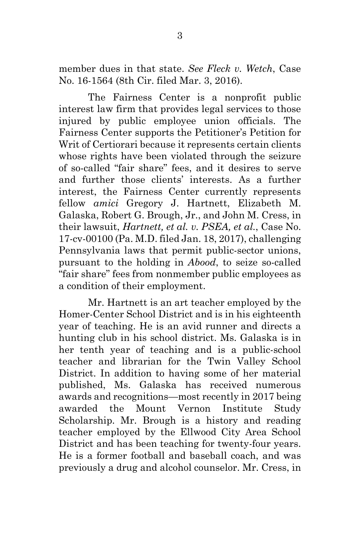member dues in that state. *See Fleck v. Wetch*, Case No. 16-1564 (8th Cir. filed Mar. 3, 2016).

The Fairness Center is a nonprofit public interest law firm that provides legal services to those injured by public employee union officials. The Fairness Center supports the Petitioner's Petition for Writ of Certiorari because it represents certain clients whose rights have been violated through the seizure of so-called "fair share" fees, and it desires to serve and further those clients' interests. As a further interest, the Fairness Center currently represents fellow *amici* Gregory J. Hartnett, Elizabeth M. Galaska, Robert G. Brough, Jr., and John M. Cress, in their lawsuit, *Hartnett, et al. v. PSEA, et al.*, Case No. 17-cv-00100 (Pa. M.D. filed Jan. 18, 2017), challenging Pennsylvania laws that permit public-sector unions, pursuant to the holding in *Abood*, to seize so-called "fair share" fees from nonmember public employees as a condition of their employment.

Mr. Hartnett is an art teacher employed by the Homer-Center School District and is in his eighteenth year of teaching. He is an avid runner and directs a hunting club in his school district. Ms. Galaska is in her tenth year of teaching and is a public-school teacher and librarian for the Twin Valley School District. In addition to having some of her material published, Ms. Galaska has received numerous awards and recognitions—most recently in 2017 being awarded the Mount Vernon Institute Study Scholarship. Mr. Brough is a history and reading teacher employed by the Ellwood City Area School District and has been teaching for twenty-four years. He is a former football and baseball coach, and was previously a drug and alcohol counselor. Mr. Cress, in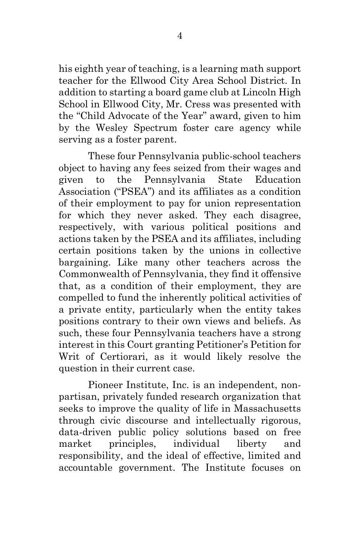his eighth year of teaching, is a learning math support teacher for the Ellwood City Area School District. In addition to starting a board game club at Lincoln High School in Ellwood City, Mr. Cress was presented with the "Child Advocate of the Year" award, given to him by the Wesley Spectrum foster care agency while serving as a foster parent.

These four Pennsylvania public-school teachers object to having any fees seized from their wages and given to the Pennsylvania State Education Association ("PSEA") and its affiliates as a condition of their employment to pay for union representation for which they never asked. They each disagree, respectively, with various political positions and actions taken by the PSEA and its affiliates, including certain positions taken by the unions in collective bargaining. Like many other teachers across the Commonwealth of Pennsylvania, they find it offensive that, as a condition of their employment, they are compelled to fund the inherently political activities of a private entity, particularly when the entity takes positions contrary to their own views and beliefs. As such, these four Pennsylvania teachers have a strong interest in this Court granting Petitioner's Petition for Writ of Certiorari, as it would likely resolve the question in their current case.

Pioneer Institute, Inc. is an independent, nonpartisan, privately funded research organization that seeks to improve the quality of life in Massachusetts through civic discourse and intellectually rigorous, data-driven public policy solutions based on free market principles, individual liberty and responsibility, and the ideal of effective, limited and accountable government. The Institute focuses on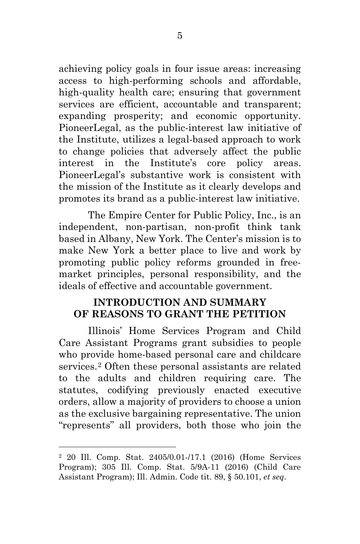achieving policy goals in four issue areas: increasing access to high-performing schools and affordable, high-quality health care; ensuring that government services are efficient, accountable and transparent; expanding prosperity; and economic opportunity. PioneerLegal, as the public-interest law initiative of the Institute, utilizes a legal-based approach to work to change policies that adversely affect the public interest in the Institute's core policy areas. PioneerLegal's substantive work is consistent with the mission of the Institute as it clearly develops and promotes its brand as a public-interest law initiative.

The Empire Center for Public Policy, Inc., is an independent, non-partisan, non-profit think tank based in Albany, New York. The Center's mission is to make New York a better place to live and work by promoting public policy reforms grounded in freemarket principles, personal responsibility, and the ideals of effective and accountable government.

### **INTRODUCTION AND SUMMARY OF REASONS TO GRANT THE PETITION**

Illinois' Home Services Program and Child Care Assistant Programs grant subsidies to people who provide home-based personal care and childcare services.[2](#page-12-0) Often these personal assistants are related to the adults and children requiring care. The statutes, codifying previously enacted executive orders, allow a majority of providers to choose a union as the exclusive bargaining representative. The union "represents" all providers, both those who join the

 $\overline{a}$ 

<span id="page-12-0"></span><sup>2</sup> 20 Ill. Comp. Stat. 2405/0.01-/17.1 (2016) (Home Services Program); 305 Ill. Comp. Stat. 5/9A-11 (2016) (Child Care Assistant Program); Ill. Admin. Code tit. 89, § 50.101, *et seq*.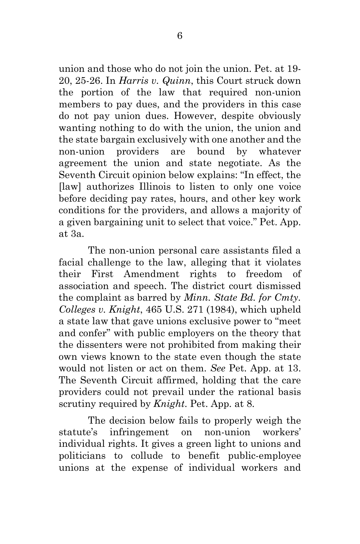union and those who do not join the union. Pet. at 19- 20, 25-26. In *Harris v. Quinn*, this Court struck down the portion of the law that required non-union members to pay dues, and the providers in this case do not pay union dues. However, despite obviously wanting nothing to do with the union, the union and the state bargain exclusively with one another and the non-union providers are bound by whatever agreement the union and state negotiate. As the Seventh Circuit opinion below explains: "In effect, the [law] authorizes Illinois to listen to only one voice before deciding pay rates, hours, and other key work conditions for the providers, and allows a majority of a given bargaining unit to select that voice." Pet. App. at 3a.

The non-union personal care assistants filed a facial challenge to the law, alleging that it violates their First Amendment rights to freedom of association and speech. The district court dismissed the complaint as barred by *Minn. State Bd. for Cmty. Colleges v. Knight*, 465 U.S. 271 (1984), which upheld a state law that gave unions exclusive power to "meet and confer" with public employers on the theory that the dissenters were not prohibited from making their own views known to the state even though the state would not listen or act on them. *See* Pet. App. at 13. The Seventh Circuit affirmed, holding that the care providers could not prevail under the rational basis scrutiny required by *Knight*. Pet. App. at 8.

The decision below fails to properly weigh the statute's infringement on non-union workers' individual rights. It gives a green light to unions and politicians to collude to benefit public-employee unions at the expense of individual workers and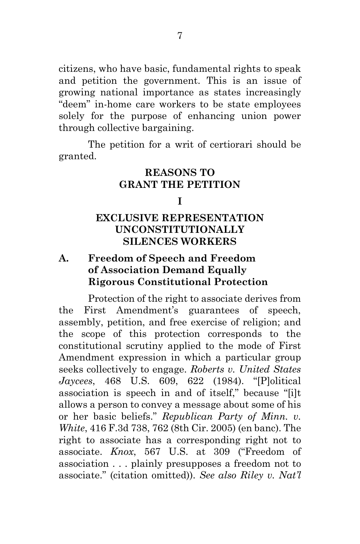citizens, who have basic, fundamental rights to speak and petition the government. This is an issue of growing national importance as states increasingly "deem" in-home care workers to be state employees solely for the purpose of enhancing union power through collective bargaining.

The petition for a writ of certiorari should be granted.

#### **REASONS TO GRANT THE PETITION**

#### **I**

#### **EXCLUSIVE REPRESENTATION UNCONSTITUTIONALLY SILENCES WORKERS**

#### **A. Freedom of Speech and Freedom of Association Demand Equally Rigorous Constitutional Protection**

Protection of the right to associate derives from the First Amendment's guarantees of speech, assembly, petition, and free exercise of religion; and the scope of this protection corresponds to the constitutional scrutiny applied to the mode of First Amendment expression in which a particular group seeks collectively to engage. *Roberts v. United States Jaycees*, 468 U.S. 609, 622 (1984). "[P]olitical association is speech in and of itself," because "[i]t allows a person to convey a message about some of his or her basic beliefs." *Republican Party of Minn. v. White*, 416 F.3d 738, 762 (8th Cir. 2005) (en banc). The right to associate has a corresponding right not to associate. *Knox*, 567 U.S. at 309 ("Freedom of association . . . plainly presupposes a freedom not to associate." (citation omitted)). *See also Riley v. Nat'l*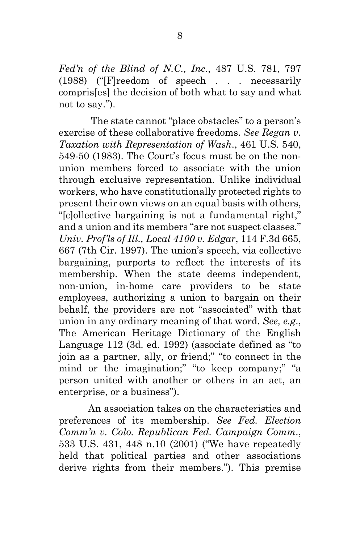*Fed'n of the Blind of N.C., Inc*., 487 U.S. 781, 797 (1988) ("[F]reedom of speech . . . necessarily compris[es] the decision of both what to say and what not to say.").

The state cannot "place obstacles" to a person's exercise of these collaborative freedoms. *See Regan v. Taxation with Representation of Wash*., 461 U.S. 540, 549-50 (1983). The Court's focus must be on the nonunion members forced to associate with the union through exclusive representation. Unlike individual workers, who have constitutionally protected rights to present their own views on an equal basis with others, "[c]ollective bargaining is not a fundamental right," and a union and its members "are not suspect classes." *Univ. Prof'ls of Ill., Local 4100 v. Edgar*, 114 F.3d 665, 667 (7th Cir. 1997). The union's speech, via collective bargaining, purports to reflect the interests of its membership. When the state deems independent, non-union, in-home care providers to be state employees, authorizing a union to bargain on their behalf, the providers are not "associated" with that union in any ordinary meaning of that word. *See, e.g*., The American Heritage Dictionary of the English Language 112 (3d. ed. 1992) (associate defined as "to join as a partner, ally, or friend;" "to connect in the mind or the imagination;" "to keep company;" "a person united with another or others in an act, an enterprise, or a business").

An association takes on the characteristics and preferences of its membership. *See Fed. Election Comm'n v. Colo. Republican Fed. Campaign Comm*., 533 U.S. 431, 448 n.10 (2001) ("We have repeatedly held that political parties and other associations derive rights from their members."). This premise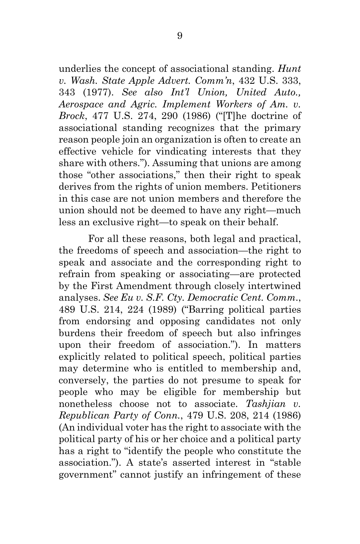underlies the concept of associational standing. *Hunt v. Wash. State Apple Advert. Comm'n*, 432 U.S. 333, 343 (1977). *See also Int'l Union, United Auto., Aerospace and Agric. Implement Workers of Am. v. Brock*, 477 U.S. 274, 290 (1986) ("[T]he doctrine of associational standing recognizes that the primary reason people join an organization is often to create an effective vehicle for vindicating interests that they share with others."). Assuming that unions are among those "other associations," then their right to speak derives from the rights of union members. Petitioners in this case are not union members and therefore the union should not be deemed to have any right—much less an exclusive right—to speak on their behalf.

For all these reasons, both legal and practical, the freedoms of speech and association—the right to speak and associate and the corresponding right to refrain from speaking or associating—are protected by the First Amendment through closely intertwined analyses. *See Eu v. S.F. Cty. Democratic Cent. Comm*., 489 U.S. 214, 224 (1989) ("Barring political parties from endorsing and opposing candidates not only burdens their freedom of speech but also infringes upon their freedom of association."). In matters explicitly related to political speech, political parties may determine who is entitled to membership and, conversely, the parties do not presume to speak for people who may be eligible for membership but nonetheless choose not to associate. *Tashjian v. Republican Party of Conn.*, 479 U.S. 208, 214 (1986) (An individual voter has the right to associate with the political party of his or her choice and a political party has a right to "identify the people who constitute the association."). A state's asserted interest in "stable government" cannot justify an infringement of these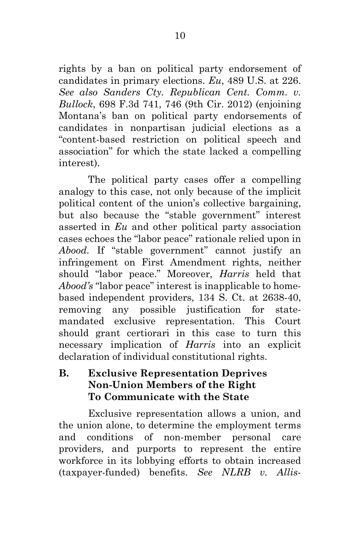rights by a ban on political party endorsement of candidates in primary elections. *Eu*, 489 U.S. at 226. *See also Sanders Cty. Republican Cent. Comm. v. Bullock*, 698 F.3d 741, 746 (9th Cir. 2012) (enjoining Montana's ban on political party endorsements of candidates in nonpartisan judicial elections as a "content-based restriction on political speech and association" for which the state lacked a compelling interest).

The political party cases offer a compelling analogy to this case, not only because of the implicit political content of the union's collective bargaining, but also because the "stable government" interest asserted in *Eu* and other political party association cases echoes the "labor peace" rationale relied upon in *Abood.* If "stable government" cannot justify an infringement on First Amendment rights, neither should "labor peace." Moreover, *Harris* held that *Abood's* "labor peace" interest is inapplicable to homebased independent providers, 134 S. Ct. at 2638-40, removing any possible justification for statemandated exclusive representation. This Court should grant certiorari in this case to turn this necessary implication of *Harris* into an explicit declaration of individual constitutional rights.

#### **B. Exclusive Representation Deprives Non-Union Members of the Right To Communicate with the State**

Exclusive representation allows a union, and the union alone, to determine the employment terms and conditions of non-member personal care providers, and purports to represent the entire workforce in its lobbying efforts to obtain increased (taxpayer-funded) benefits. *See NLRB v. Allis-*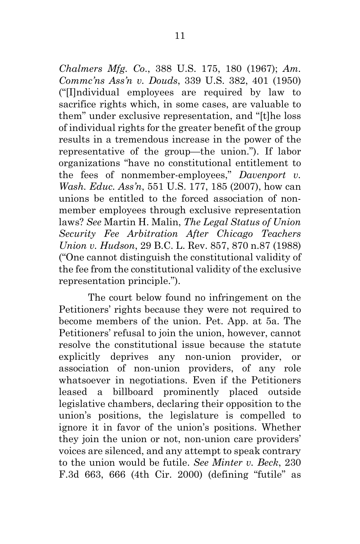*Chalmers Mfg. Co*., 388 U.S. 175, 180 (1967); *Am. Commc'ns Ass'n v. Douds*, 339 U.S. 382, 401 (1950) ("[I]ndividual employees are required by law to sacrifice rights which, in some cases, are valuable to them" under exclusive representation, and "[t]he loss of individual rights for the greater benefit of the group results in a tremendous increase in the power of the representative of the group—the union."). If labor organizations "have no constitutional entitlement to the fees of nonmember-employees," *Davenport v. Wash. Educ. Ass'n*, 551 U.S. 177, 185 (2007), how can unions be entitled to the forced association of nonmember employees through exclusive representation laws? *See* Martin H. Malin, *The Legal Status of Union Security Fee Arbitration After Chicago Teachers Union v. Hudson*, 29 B.C. L. Rev. 857, 870 n.87 (1988) ("One cannot distinguish the constitutional validity of the fee from the constitutional validity of the exclusive representation principle.").

The court below found no infringement on the Petitioners' rights because they were not required to become members of the union. Pet. App. at 5a. The Petitioners' refusal to join the union, however, cannot resolve the constitutional issue because the statute explicitly deprives any non-union provider, or association of non-union providers, of any role whatsoever in negotiations. Even if the Petitioners leased a billboard prominently placed outside legislative chambers, declaring their opposition to the union's positions, the legislature is compelled to ignore it in favor of the union's positions. Whether they join the union or not, non-union care providers' voices are silenced, and any attempt to speak contrary to the union would be futile. *See Minter v. Beck*, 230 F.3d 663, 666 (4th Cir. 2000) (defining "futile" as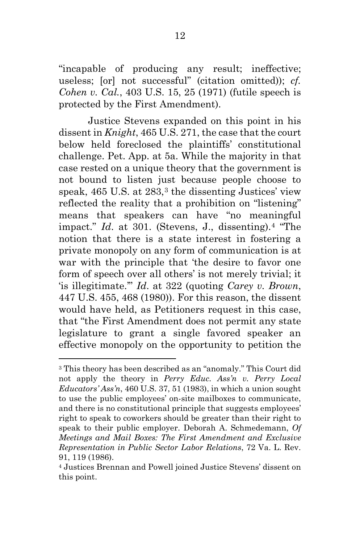"incapable of producing any result; ineffective; useless; [or] not successful" (citation omitted)); *cf. Cohen v. Cal.*, 403 U.S. 15, 25 (1971) (futile speech is protected by the First Amendment).

Justice Stevens expanded on this point in his dissent in *Knight*, 465 U.S. 271, the case that the court below held foreclosed the plaintiffs' constitutional challenge. Pet. App. at 5a. While the majority in that case rested on a unique theory that the government is not bound to listen just because people choose to speak,  $465$  U.S. at  $283<sup>3</sup>$  $283<sup>3</sup>$  $283<sup>3</sup>$ , the dissenting Justices' view reflected the reality that a prohibition on "listening" means that speakers can have "no meaningful impact." *Id*. at 301. (Stevens, J., dissenting).[4](#page-19-1) "The notion that there is a state interest in fostering a private monopoly on any form of communication is at war with the principle that 'the desire to favor one form of speech over all others' is not merely trivial; it 'is illegitimate.'" *Id*. at 322 (quoting *Carey v. Brown*, 447 U.S. 455, 468 (1980)). For this reason, the dissent would have held, as Petitioners request in this case, that "the First Amendment does not permit any state legislature to grant a single favored speaker an effective monopoly on the opportunity to petition the

 $\overline{a}$ 

<span id="page-19-0"></span><sup>3</sup> This theory has been described as an "anomaly." This Court did not apply the theory in *Perry Educ. Ass'n v. Perry Local Educators' Ass'n*, 460 U.S. 37, 51 (1983), in which a union sought to use the public employees' on-site mailboxes to communicate, and there is no constitutional principle that suggests employees' right to speak to coworkers should be greater than their right to speak to their public employer. Deborah A. Schmedemann, *Of Meetings and Mail Boxes: The First Amendment and Exclusive Representation in Public Sector Labor Relations*, 72 Va. L. Rev. 91, 119 (1986).

<span id="page-19-1"></span><sup>4</sup> Justices Brennan and Powell joined Justice Stevens' dissent on this point.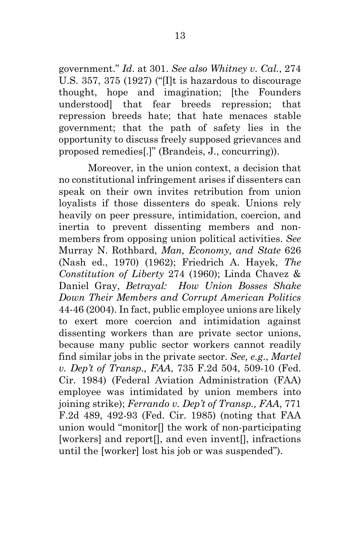government." *Id*. at 301. *See also Whitney v. Cal.*, 274 U.S. 357, 375 (1927) ("[I]t is hazardous to discourage thought, hope and imagination; [the Founders understood] that fear breeds repression; that repression breeds hate; that hate menaces stable government; that the path of safety lies in the opportunity to discuss freely supposed grievances and proposed remedies[.]" (Brandeis, J., concurring)).

Moreover, in the union context, a decision that no constitutional infringement arises if dissenters can speak on their own invites retribution from union loyalists if those dissenters do speak. Unions rely heavily on peer pressure, intimidation, coercion, and inertia to prevent dissenting members and nonmembers from opposing union political activities. *See* Murray N. Rothbard, *Man, Economy, and State* 626 (Nash ed., 1970) (1962); Friedrich A. Hayek, *The Constitution of Liberty* 274 (1960); Linda Chavez & Daniel Gray, *Betrayal: How Union Bosses Shake Down Their Members and Corrupt American Politics* 44-46 (2004). In fact, public employee unions are likely to exert more coercion and intimidation against dissenting workers than are private sector unions, because many public sector workers cannot readily find similar jobs in the private sector. *See, e.g*., *Martel v. Dep't of Transp., FAA*, 735 F.2d 504, 509-10 (Fed. Cir. 1984) (Federal Aviation Administration (FAA) employee was intimidated by union members into joining strike); *Ferrando v. Dep't of Transp., FAA*, 771 F.2d 489, 492-93 (Fed. Cir. 1985) (noting that FAA union would "monitor[] the work of non-participating [workers] and report<sup>[]</sup>, and even invent<sup>[]</sup>, infractions until the [worker] lost his job or was suspended").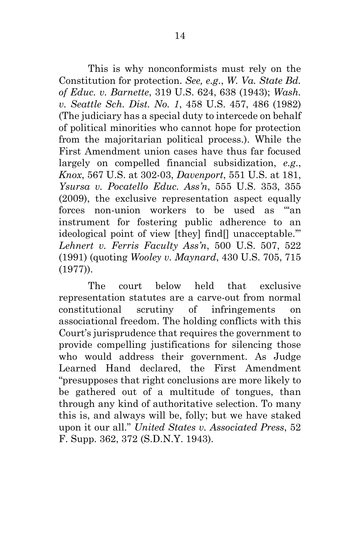This is why nonconformists must rely on the Constitution for protection. *See, e.g*., *W. Va. State Bd. of Educ. v. Barnette*, 319 U.S. 624, 638 (1943); *Wash. v. Seattle Sch. Dist. No. 1*, 458 U.S. 457, 486 (1982) (The judiciary has a special duty to intercede on behalf of political minorities who cannot hope for protection from the majoritarian political process.). While the First Amendment union cases have thus far focused largely on compelled financial subsidization, *e.g*., *Knox*, 567 U.S. at 302-03, *Davenport*, 551 U.S. at 181, *Ysursa v. Pocatello Educ. Ass'n*, 555 U.S. 353, 355 (2009), the exclusive representation aspect equally forces non-union workers to be used as "'an instrument for fostering public adherence to an ideological point of view [they] find[] unacceptable.'" *Lehnert v. Ferris Faculty Ass'n*, 500 U.S. 507, 522 (1991) (quoting *Wooley v. Maynard*, 430 U.S. 705, 715 (1977)).

The court below held that exclusive representation statutes are a carve-out from normal constitutional scrutiny of infringements on associational freedom. The holding conflicts with this Court's jurisprudence that requires the government to provide compelling justifications for silencing those who would address their government. As Judge Learned Hand declared, the First Amendment "presupposes that right conclusions are more likely to be gathered out of a multitude of tongues, than through any kind of authoritative selection. To many this is, and always will be, folly; but we have staked upon it our all." *United States v. Associated Press*, 52 F. Supp. 362, 372 (S.D.N.Y. 1943).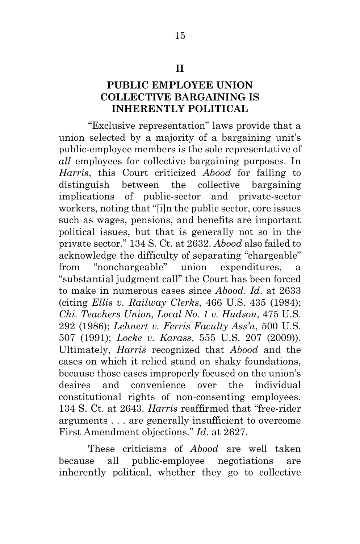#### **II**

#### **PUBLIC EMPLOYEE UNION COLLECTIVE BARGAINING IS INHERENTLY POLITICAL**

"Exclusive representation" laws provide that a union selected by a majority of a bargaining unit's public-employee members is the sole representative of *all* employees for collective bargaining purposes. In *Harris*, this Court criticized *Abood* for failing to distinguish between the collective bargaining implications of public-sector and private-sector workers, noting that "[i]n the public sector, core issues such as wages, pensions, and benefits are important political issues, but that is generally not so in the private sector." 134 S. Ct. at 2632. *Abood* also failed to acknowledge the difficulty of separating "chargeable" from "nonchargeable" union expenditures, a "substantial judgment call" the Court has been forced to make in numerous cases since *Abood*. *Id*. at 2633 (citing *Ellis v. Railway Clerks*, 466 U.S. 435 (1984); *Chi. Teachers Union, Local No. 1 v. Hudson*, 475 U.S. 292 (1986); *Lehnert v. Ferris Faculty Ass'n*, 500 U.S. 507 (1991); *Locke v. Karass*, 555 U.S. 207 (2009)). Ultimately, *Harris* recognized that *Abood* and the cases on which it relied stand on shaky foundations, because those cases improperly focused on the union's desires and convenience over the individual constitutional rights of non-consenting employees. 134 S. Ct. at 2643. *Harris* reaffirmed that "free-rider arguments . . . are generally insufficient to overcome First Amendment objections." *Id*. at 2627.

These criticisms of *Abood* are well taken because all public-employee negotiations are inherently political, whether they go to collective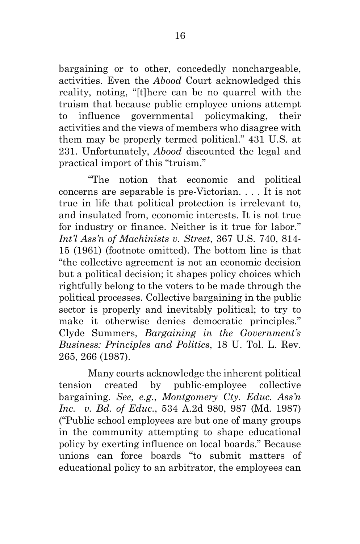bargaining or to other, concededly nonchargeable, activities. Even the *Abood* Court acknowledged this reality, noting, "[t]here can be no quarrel with the truism that because public employee unions attempt to influence governmental policymaking, their activities and the views of members who disagree with them may be properly termed political." 431 U.S. at 231. Unfortunately, *Abood* discounted the legal and practical import of this "truism."

"The notion that economic and political concerns are separable is pre-Victorian. . . . It is not true in life that political protection is irrelevant to, and insulated from, economic interests. It is not true for industry or finance. Neither is it true for labor." *Int'l Ass'n of Machinists v. Street*, 367 U.S. 740, 814- 15 (1961) (footnote omitted). The bottom line is that "the collective agreement is not an economic decision but a political decision; it shapes policy choices which rightfully belong to the voters to be made through the political processes. Collective bargaining in the public sector is properly and inevitably political; to try to make it otherwise denies democratic principles." Clyde Summers, *Bargaining in the Government's Business: Principles and Politics*, 18 U. Tol. L. Rev. 265, 266 (1987).

Many courts acknowledge the inherent political tension created by public-employee collective bargaining. *See, e.g*., *Montgomery Cty. Educ. Ass'n Inc. v. Bd. of Educ*., 534 A.2d 980, 987 (Md. 1987) ("Public school employees are but one of many groups in the community attempting to shape educational policy by exerting influence on local boards." Because unions can force boards "to submit matters of educational policy to an arbitrator, the employees can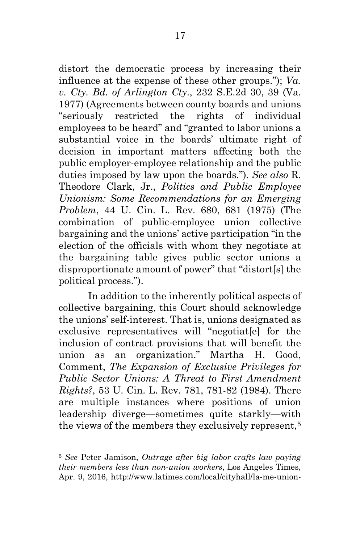distort the democratic process by increasing their influence at the expense of these other groups."); *Va. v. Cty. Bd. of Arlington Cty*., 232 S.E.2d 30, 39 (Va. 1977) (Agreements between county boards and unions "seriously restricted the rights of individual employees to be heard" and "granted to labor unions a substantial voice in the boards' ultimate right of decision in important matters affecting both the public employer-employee relationship and the public duties imposed by law upon the boards."). *See also* R. Theodore Clark, Jr., *Politics and Public Employee Unionism: Some Recommendations for an Emerging Problem*, 44 U. Cin. L. Rev. 680, 681 (1975) (The combination of public-employee union collective bargaining and the unions' active participation "in the election of the officials with whom they negotiate at the bargaining table gives public sector unions a disproportionate amount of power" that "distort[s] the political process.").

In addition to the inherently political aspects of collective bargaining, this Court should acknowledge the unions' self-interest. That is, unions designated as exclusive representatives will "negotiat[e] for the inclusion of contract provisions that will benefit the union as an organization." Martha H. Good, Comment, *The Expansion of Exclusive Privileges for Public Sector Unions: A Threat to First Amendment Rights?*, 53 U. Cin. L. Rev. 781, 781-82 (1984). There are multiple instances where positions of union leadership diverge—sometimes quite starkly—with the views of the members they exclusively represent,<sup>[5](#page-24-0)</sup>

 $\overline{a}$ 

<span id="page-24-0"></span><sup>5</sup> *See* Peter Jamison, *Outrage after big labor crafts law paying their members less than non-union workers*, Los Angeles Times, Apr. 9, 2016, http://www.latimes.com/local/cityhall/la-me-union-